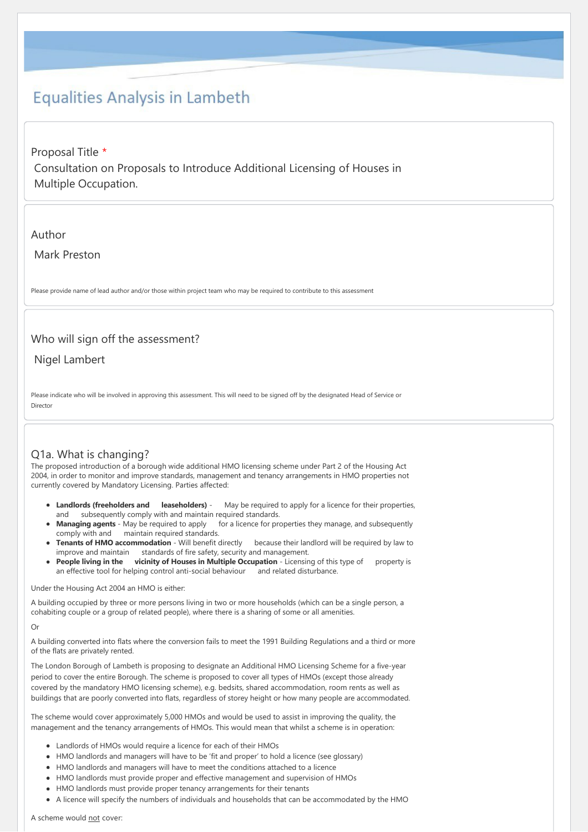# **Equalities Analysis in Lambeth**

Proposal Title \* Consultation on Proposals to Introduce Additional Licensing of Houses in Multiple Occupation.

## Author

Mark Preston

Please provide name of lead author and/or those within project team who may be required to contribute to this assessment

# Who will sign off the assessment?

Nigel Lambert

Please indicate who will be involved in approving this assessment. This will need to be signed off by the designated Head of Service or Director

# Q1a. What is changing?

The proposed introduction of a borough wide additional HMO licensing scheme under Part 2 of the Housing Act 2004, in order to monitor and improve standards, management and tenancy arrangements in HMO properties not currently covered by Mandatory Licensing. Parties affected:

- Landlords (freeholders and leaseholders) May be required to apply for a licence for their properties, and subsequently comply with and maintain required standards.
- **Managing agents** May be required to apply for a licence for properties they manage, and subsequently comply with and maintain required standards.
- **Tenants of HMO accommodation** Will benefit directly because their landlord will be required by law to improve and maintain standards of fire safety, security and management.
- **People living in the** vicinity of Houses in Multiple Occupation Licensing of this type of property is an effective tool for helping control anti-social behaviour and related disturbance.

## Under the Housing Act 2004 an HMO is either:

A building occupied by three or more persons living in two or more households (which can be a single person, a cohabiting couple or a group of related people), where there is a sharing of some or all amenities.

### $\Omega$

A building converted into flats where the conversion fails to meet the 1991 Building Regulations and a third or more of the flats are privately rented.

The London Borough of Lambeth is proposing to designate an Additional HMO Licensing Scheme for a five-year period to cover the entire Borough. The scheme is proposed to cover all types of HMOs (except those already covered by the mandatory HMO licensing scheme), e.g. bedsits, shared accommodation, room rents as well as buildings that are poorly converted into flats, regardless of storey height or how many people are accommodated.

The scheme would cover approximately 5,000 HMOs and would be used to assist in improving the quality, the management and the tenancy arrangements of HMOs. This would mean that whilst a scheme is in operation:

- Landlords of HMOs would require a licence for each of their HMOs
- HMO landlords and managers will have to be 'fit and proper' to hold a licence (see glossary)
- HMO landlords and managers will have to meet the conditions attached to a licence
- HMO landlords must provide proper and effective management and supervision of HMOs
- HMO landlords must provide proper tenancy arrangements for their tenants
- A licence will specify the numbers of individuals and households that can be accommodated by the HMO

A scheme would not cover: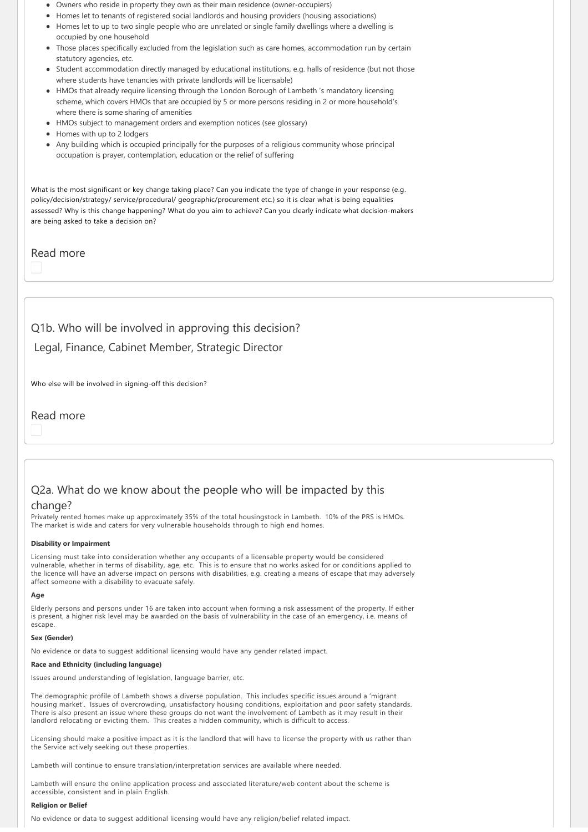- Owners who reside in property they own as their main residence (owner-occupiers)
- Homes let to tenants of registered social landlords and housing providers (housing associations)
- Homes let to up to two single people who are unrelated or single family dwellings where a dwelling is occupied by one household
- Those places specifically excluded from the legislation such as care homes, accommodation run by certain statutory agencies, etc.
- Student accommodation directly managed by educational institutions, e.g. halls of residence (but not those where students have tenancies with private landlords will be licensable)
- HMOs that already require licensing through the London Borough of Lambeth 's mandatory licensing scheme, which covers HMOs that are occupied by 5 or more persons residing in 2 or more household's where there is some sharing of amenities
- HMOs subject to management orders and exemption notices (see glossary)
- Homes with up to 2 lodgers
- Any building which is occupied principally for the purposes of a religious community whose principal occupation is prayer, contemplation, education or the relief of suffering

What is the most significant or key change taking place? Can you indicate the type of change in your response (e.g. policy/decision/strategy/ service/procedural/ geographic/procurement etc.) so it is clear what is being equalities assessed? Why is this change happening? What do you aim to achieve? Can you clearly indicate what decision‐makers are being asked to take a decision on?

Read more

# Q1b. Who will be involved in approving this decision?

Legal, Finance, Cabinet Member, Strategic Director

Who else will be involved in signing-off this decision?

Read more

# Q2a. What do we know about the people who will be impacted by this

## change?

Privately rented homes make up approximately 35% of the total housingstock in Lambeth. 10% of the PRS is HMOs. The market is wide and caters for very vulnerable households through to high end homes.

### **Disability or Impairment**

Licensing must take into consideration whether any occupants of a licensable property would be considered vulnerable, whether in terms of disability, age, etc. This is to ensure that no works asked for or conditions applied to the licence will have an adverse impact on persons with disabilities, e.g. creating a means of escape that may adversely affect someone with a disability to evacuate safely.

### **Age**

Elderly persons and persons under 16 are taken into account when forming a risk assessment of the property. If either is present, a higher risk level may be awarded on the basis of vulnerability in the case of an emergency, i.e. means of escape.

### Sex (Gender<sup>)</sup>

No evidence or data to suggest additional licensing would have any gender related impact.

### **Race and Ethnicity (including language)**

Issues around understanding of legislation, language barrier, etc.

The demographic profile of Lambeth shows a diverse population. This includes specific issues around a 'migrant housing market'. Issues of overcrowding, unsatisfactory housing conditions, exploitation and poor safety standards. There is also present an issue where these groups do not want the involvement of Lambeth as it may result in their landlord relocating or evicting them. This creates a hidden community, which is difficult to access.

Licensing should make a positive impact as it is the landlord that will have to license the property with us rather than the Service actively seeking out these properties.

Lambeth will continue to ensure translation/interpretation services are available where needed.

Lambeth will ensure the online application process and associated literature/web content about the scheme is accessible, consistent and in plain English.

#### **Religion or Belief**

No evidence or data to suggest additional licensing would have any religion/belief related impact.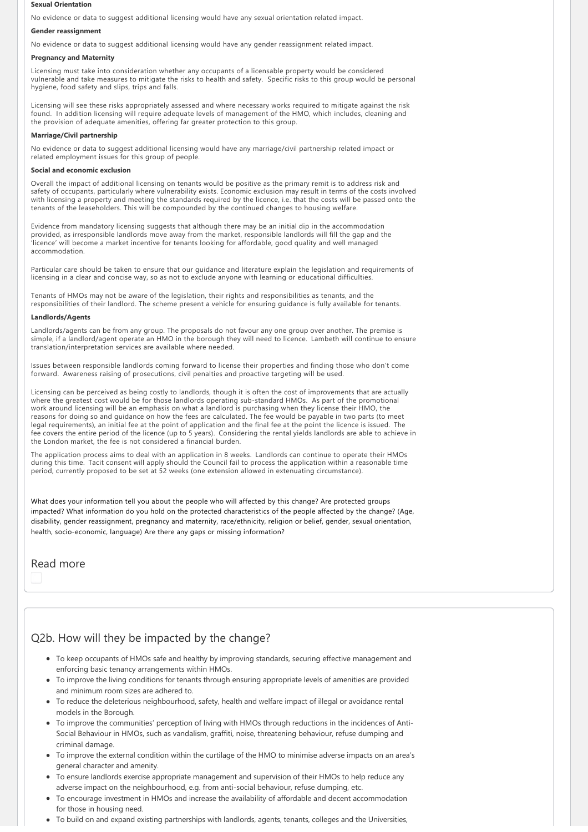#### **Sexual Orientation**

No evidence or data to suggest additional licensing would have any sexual orientation related impact.

#### **Gender reassignment**

No evidence or data to suggest additional licensing would have any gender reassignment related impact.

## **Pregnancy and Maternity**

Licensing must take into consideration whether any occupants of a licensable property would be considered vulnerable and take measures to mitigate the risks to health and safety. Specific risks to this group would be personal hygiene, food safety and slips, trips and falls.

Licensing will see these risks appropriately assessed and where necessary works required to mitigate against the risk found. In addition licensing will require adequate levels of management of the HMO, which includes, cleaning and the provision of adequate amenities, offering far greater protection to this group.

### **Marriage/Civil partnership**

No evidence or data to suggest additional licensing would have any marriage/civil partnership related impact or related employment issues for this group of people.

#### **Social and economic exclusion**

Overall the impact of additional licensing on tenants would be positive as the primary remit is to address risk and safety of occupants, particularly where vulnerability exists. Economic exclusion may result in terms of the costs involved with licensing a property and meeting the standards required by the licence, i.e. that the costs will be passed onto the tenants of the leaseholders. This will be compounded by the continued changes to housing welfare.

Evidence from mandatory licensing suggests that although there may be an initial dip in the accommodation provided, as irresponsible landlords move away from the market, responsible landlords will fill the gap and the 'licence' will become a market incentive for tenants looking for affordable, good quality and well managed accommodation.

Particular care should be taken to ensure that our guidance and literature explain the legislation and requirements of licensing in a clear and concise way, so as not to exclude anyone with learning or educational difficulties.

Tenants of HMOs may not be aware of the legislation, their rights and responsibilities as tenants, and the responsibilities of their landlord. The scheme present a vehicle for ensuring guidance is fully available for tenants.

#### **Landlords/Agents**

Landlords/agents can be from any group. The proposals do not favour any one group over another. The premise is simple, if a landlord/agent operate an HMO in the borough they will need to licence. Lambeth will continue to ensure translation/interpretation services are available where needed.

Issues between responsible landlords coming forward to license their properties and finding those who don't come forward. Awareness raising of prosecutions, civil penalties and proactive targeting will be used.

Licensing can be perceived as being costly to landlords, though it is often the cost of improvements that are actually where the greatest cost would be for those landlords operating sub‐standard HMOs. As part of the promotional work around licensing will be an emphasis on what a landlord is purchasing when they license their HMO, the reasons for doing so and guidance on how the fees are calculated. The fee would be payable in two parts (to meet legal requirements), an initial fee at the point of application and the final fee at the point the licence is issued. The fee covers the entire period of the licence (up to 5 years). Considering the rental yields landlords are able to achieve in the London market, the fee is not considered a financial burden.

The application process aims to deal with an application in 8 weeks. Landlords can continue to operate their HMOs during this time. Tacit consent will apply should the Council fail to process the application within a reasonable time period, currently proposed to be set at 52 weeks (one extension allowed in extenuating circumstance).

What does your information tell you about the people who will affected by this change? Are protected groups impacted? What information do you hold on the protected characteristics of the people affected by the change? (Age, disability, gender reassignment, pregnancy and maternity, race/ethnicity, religion or belief, gender, sexual orientation, health, socio-economic, language) Are there any gaps or missing information?

## Read more

# Q2b. How will they be impacted by the change?

- To keep occupants of HMOs safe and healthy by improving standards, securing effective management and enforcing basic tenancy arrangements within HMOs.
- To improve the living conditions for tenants through ensuring appropriate levels of amenities are provided and minimum room sizes are adhered to.
- To reduce the deleterious neighbourhood, safety, health and welfare impact of illegal or avoidance rental models in the Borough.
- To improve the communities' perception of living with HMOs through reductions in the incidences of Anti-Social Behaviour in HMOs, such as vandalism, graffiti, noise, threatening behaviour, refuse dumping and criminal damage.
- To improve the external condition within the curtilage of the HMO to minimise adverse impacts on an area's general character and amenity.
- To ensure landlords exercise appropriate management and supervision of their HMOs to help reduce any adverse impact on the neighbourhood, e.g. from anti‐social behaviour, refuse dumping, etc.
- To encourage investment in HMOs and increase the availability of affordable and decent accommodation for those in housing need.
- To build on and expand existing partnerships with landlords, agents, tenants, colleges and the Universities,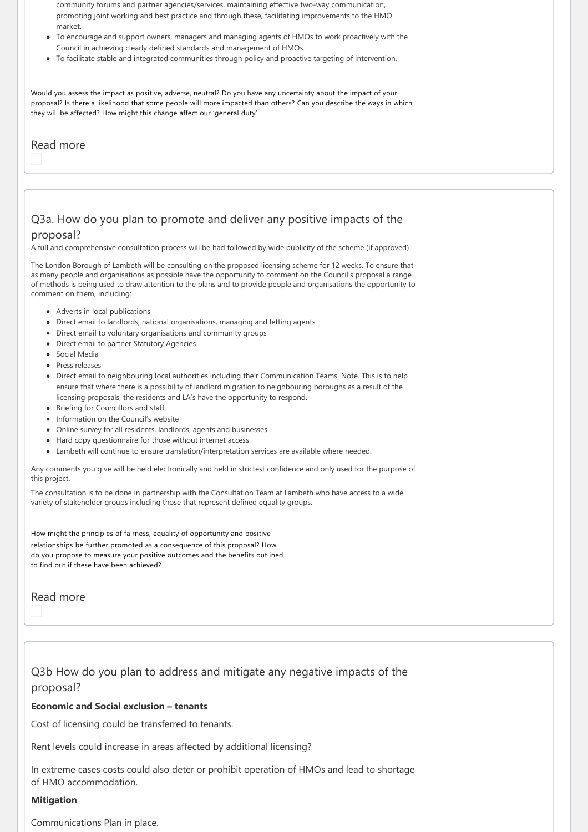community forums and partner agencies/services, maintaining effective two-way communication, promoting joint working and best practice and through these, facilitating improvements to the HMO market.

- To encourage and support owners, managers and managing agents of HMOs to work proactively with the Council in achieving clearly defined standards and management of HMOs.
- To facilitate stable and integrated communities through policy and proactive targeting of intervention.

Would you assess the impact as positive, adverse, neutral? Do you have any uncertainty about the impact of your proposal? Is there a likelihood that some people will more impacted than others? Can you describe the ways in which they will be affected? How might this change affect our 'general duty'

## Read more

# Q3a. How do you plan to promote and deliver any positive impacts of the

# proposal?

A full and comprehensive consultation process will be had followed by wide publicity of the scheme (if approved)

The London Borough of Lambeth will be consulting on the proposed licensing scheme for 12 weeks. To ensure that as many people and organisations as possible have the opportunity to comment on the Council's proposal a range of methods is being used to draw attention to the plans and to provide people and organisations the opportunity to comment on them, including:

- Adverts in local publications
- Direct email to landlords, national organisations, managing and letting agents
- Direct email to voluntary organisations and community groups
- Direct email to partner Statutory Agencies
- Social Media
- Press releases
- Direct email to neighbouring local authorities including their Communication Teams. Note. This is to help ensure that where there is a possibility of landlord migration to neighbouring boroughs as a result of the licensing proposals, the residents and LA's have the opportunity to respond.
- Briefing for Councillors and staff
- Information on the Council's website
- Online survey for all residents, landlords, agents and businesses
- Hard copy questionnaire for those without internet access
- Lambeth will continue to ensure translation/interpretation services are available where needed.

Any comments you give will be held electronically and held in strictest confidence and only used for the purpose of this project.

The consultation is to be done in partnership with the Consultation Team at Lambeth who have access to a wide variety of stakeholder groups including those that represent defined equality groups.

How might the principles of fairness, equality of opportunity and positive relationships be further promoted as a consequence of this proposal? How do you propose to measure your positive outcomes and the benefits outlined to find out if these have been achieved?

# Read more

# Q3b How do you plan to address and mitigate any negative impacts of the proposal?

## **Economic and Social exclusion – tenants**

Cost of licensing could be transferred to tenants.

Rent levels could increase in areas affected by additional licensing?

In extreme cases costs could also deter or prohibit operation of HMOs and lead to shortage of HMO accommodation.

## **Mitigation**

Communications Plan in place.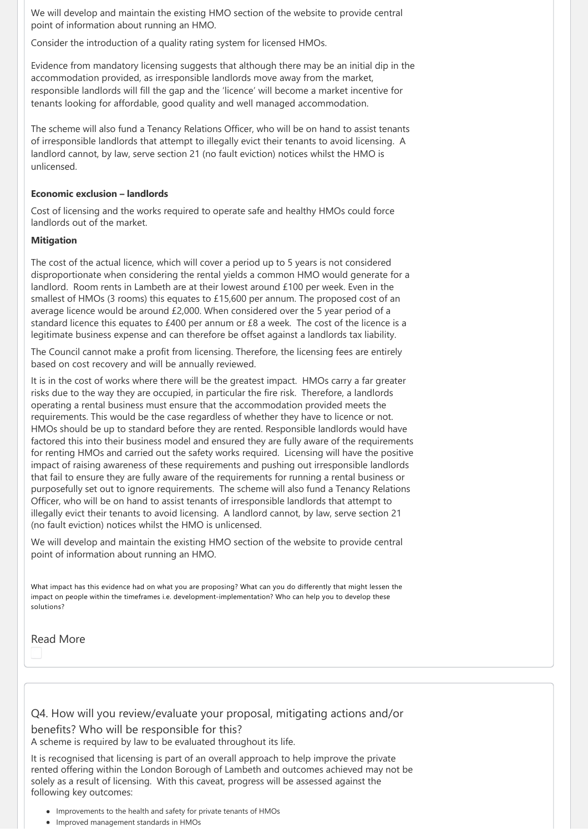We will develop and maintain the existing HMO section of the website to provide central point of information about running an HMO.

Consider the introduction of a quality rating system for licensed HMOs.

Evidence from mandatory licensing suggests that although there may be an initial dip in the accommodation provided, as irresponsible landlords move away from the market, responsible landlords will fill the gap and the 'licence' will become a market incentive for tenants looking for affordable, good quality and well managed accommodation.

The scheme will also fund a Tenancy Relations Officer, who will be on hand to assist tenants of irresponsible landlords that attempt to illegally evict their tenants to avoid licensing. A landlord cannot, by law, serve section 21 (no fault eviction) notices whilst the HMO is unlicensed.

## **Economic exclusion – landlords**

Cost of licensing and the works required to operate safe and healthy HMOs could force landlords out of the market.

## **Mitigation**

The cost of the actual licence, which will cover a period up to 5 years is not considered disproportionate when considering the rental yields a common HMO would generate for a landlord. Room rents in Lambeth are at their lowest around £100 per week. Even in the smallest of HMOs (3 rooms) this equates to  $£15,600$  per annum. The proposed cost of an average licence would be around £2,000. When considered over the 5 year period of a standard licence this equates to £400 per annum or £8 a week. The cost of the licence is a legitimate business expense and can therefore be offset against a landlords tax liability.

The Council cannot make a profit from licensing. Therefore, the licensing fees are entirely based on cost recovery and will be annually reviewed.

It is in the cost of works where there will be the greatest impact. HMOs carry a far greater risks due to the way they are occupied, in particular the fire risk. Therefore, a landlords operating a rental business must ensure that the accommodation provided meets the requirements. This would be the case regardless of whether they have to licence or not. HMOs should be up to standard before they are rented. Responsible landlords would have factored this into their business model and ensured they are fully aware of the requirements for renting HMOs and carried out the safety works required. Licensing will have the positive impact of raising awareness of these requirements and pushing out irresponsible landlords that fail to ensure they are fully aware of the requirements for running a rental business or purposefully set out to ignore requirements. The scheme will also fund a Tenancy Relations Officer, who will be on hand to assist tenants of irresponsible landlords that attempt to illegally evict their tenants to avoid licensing. A landlord cannot, by law, serve section 21 (no fault eviction) notices whilst the HMO is unlicensed.

We will develop and maintain the existing HMO section of the website to provide central point of information about running an HMO.

What impact has this evidence had on what you are proposing? What can you do differently that might lessen the impact on people within the timeframes i.e. development-implementation? Who can help you to develop these solutions?

Read More

Q4. How will you review/evaluate your proposal, mitigating actions and/or benefits? Who will be responsible for this? A scheme is required by law to be evaluated throughout its life.

It is recognised that licensing is part of an overall approach to help improve the private rented offering within the London Borough of Lambeth and outcomes achieved may not be solely as a result of licensing. With this caveat, progress will be assessed against the following key outcomes:

- Improvements to the health and safety for private tenants of HMOs
- Improved management standards in HMOs